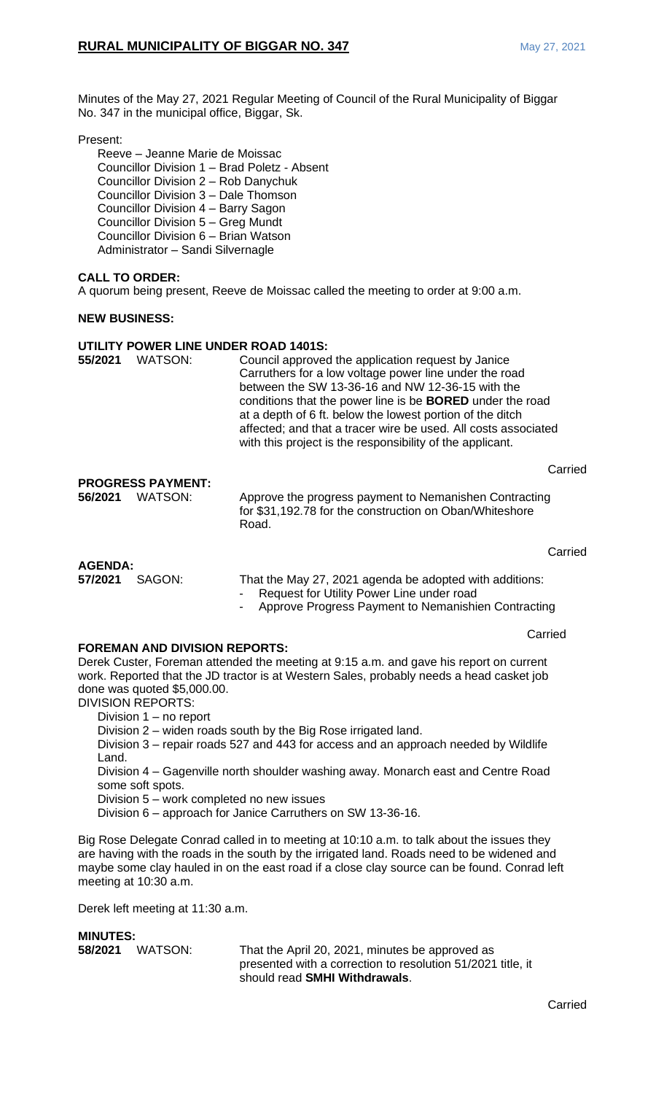Minutes of the May 27, 2021 Regular Meeting of Council of the Rural Municipality of Biggar No. 347 in the municipal office, Biggar, Sk.

#### Present:

Reeve – Jeanne Marie de Moissac Councillor Division 1 – Brad Poletz - Absent Councillor Division 2 – Rob Danychuk Councillor Division 3 – Dale Thomson Councillor Division 4 – Barry Sagon Councillor Division 5 – Greg Mundt Councillor Division 6 – Brian Watson Administrator – Sandi Silvernagle

# **CALL TO ORDER:**

A quorum being present, Reeve de Moissac called the meeting to order at 9:00 a.m.

#### **NEW BUSINESS:**

## **UTILITY POWER LINE UNDER ROAD 1401S:**

| 55/2021                   | <b>WATSON:</b>                      | Council approved the application request by Janice<br>Carruthers for a low voltage power line under the road<br>between the SW 13-36-16 and NW 12-36-15 with the<br>conditions that the power line is be <b>BORED</b> under the road<br>at a depth of 6 ft. below the lowest portion of the ditch<br>affected; and that a tracer wire be used. All costs associated<br>with this project is the responsibility of the applicant. |         |
|---------------------------|-------------------------------------|----------------------------------------------------------------------------------------------------------------------------------------------------------------------------------------------------------------------------------------------------------------------------------------------------------------------------------------------------------------------------------------------------------------------------------|---------|
| 56/2021                   | <b>PROGRESS PAYMENT:</b><br>WATSON: | Approve the progress payment to Nemanishen Contracting<br>for \$31,192.78 for the construction on Oban/Whiteshore<br>Road.                                                                                                                                                                                                                                                                                                       | Carried |
| <b>AGENDA:</b><br>57/2021 | SAGON:                              | That the May 27, 2021 agenda be adopted with additions:<br>Request for Utility Power Line under road                                                                                                                                                                                                                                                                                                                             | Carried |

- Approve Progress Payment to Nemanishien Contracting
	-

Carried

### **FOREMAN AND DIVISION REPORTS:**

Derek Custer, Foreman attended the meeting at 9:15 a.m. and gave his report on current work. Reported that the JD tractor is at Western Sales, probably needs a head casket job done was quoted \$5,000.00.

DIVISION REPORTS:

Division 1 – no report

Division 2 – widen roads south by the Big Rose irrigated land.

Division 3 – repair roads 527 and 443 for access and an approach needed by Wildlife Land.

Division 4 – Gagenville north shoulder washing away. Monarch east and Centre Road some soft spots.

Division 5 – work completed no new issues

Division 6 – approach for Janice Carruthers on SW 13-36-16.

Big Rose Delegate Conrad called in to meeting at 10:10 a.m. to talk about the issues they are having with the roads in the south by the irrigated land. Roads need to be widened and maybe some clay hauled in on the east road if a close clay source can be found. Conrad left meeting at 10:30 a.m.

Derek left meeting at 11:30 a.m.

### **MINUTES:**

**58/2021** WATSON: That the April 20, 2021, minutes be approved as presented with a correction to resolution 51/2021 title, it should read **SMHI Withdrawals**.